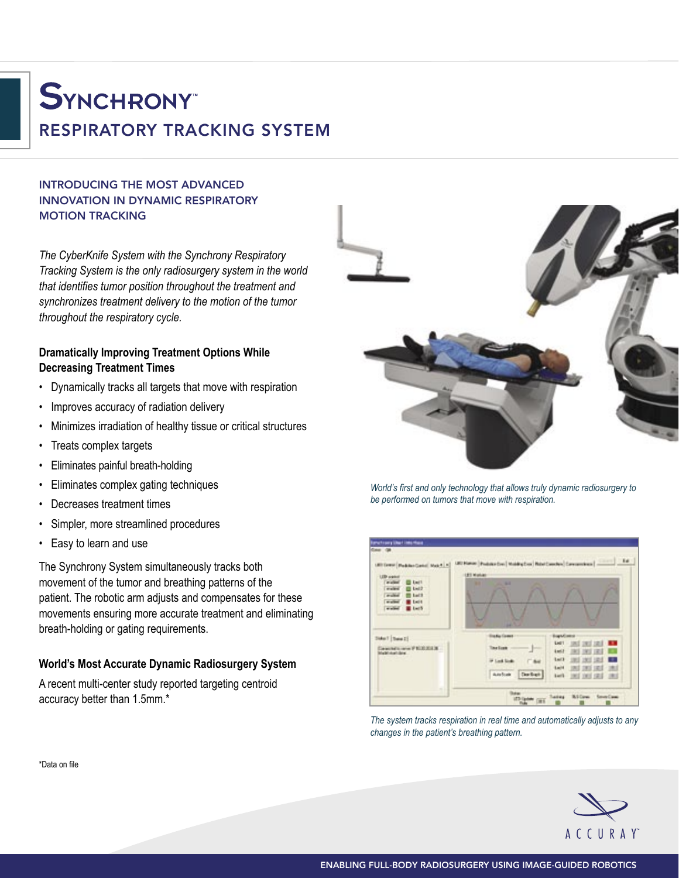# **SYNCHRONY** RESPIRATORY TRACKING SYSTEM

## INTRODUCING THE MOST ADVANCED INNOVATION IN DYNAMIC RESPIRATORY MOTION TRACKING

*The CyberKnife System with the Synchrony Respiratory Tracking System is the only radiosurgery system in the world that identifies tumor position throughout the treatment and synchronizes treatment delivery to the motion of the tumor throughout the respiratory cycle.*

### **Dramatically Improving Treatment Options While Decreasing Treatment Times**

- Dynamically tracks all targets that move with respiration
- Improves accuracy of radiation delivery
- Minimizes irradiation of healthy tissue or critical structures
- Treats complex targets
- Eliminates painful breath-holding
- Eliminates complex gating techniques
- Decreases treatment times
- Simpler, more streamlined procedures
- Easy to learn and use

The Synchrony System simultaneously tracks both movement of the tumor and breathing patterns of the patient. The robotic arm adjusts and compensates for these movements ensuring more accurate treatment and eliminating breath-holding or gating requirements.

### **World's Most Accurate Dynamic Radiosurgery System**

A recent multi-center study reported targeting centroid accuracy better than 1.5mm.\*



*World's first and only technology that allows truly dynamic radiosurgery to be performed on tumors that move with respiration.*



*The system tracks respiration in real time and automatically adjusts to any changes in the patient's breathing pattern.*



\*Data on file